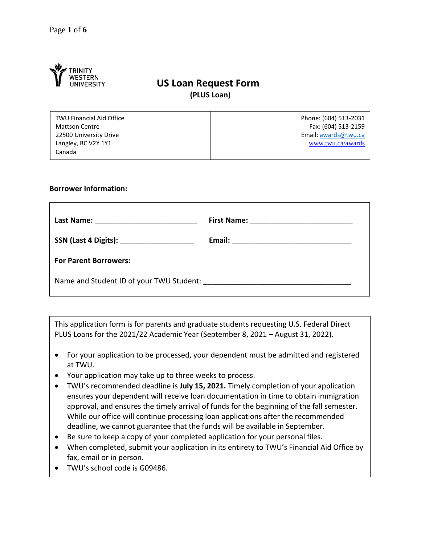

# **US Loan Request Form (PLUS Loan)**

| <b>TWU Financial Aid Office</b> | Phone: (604) 513-2031 |
|---------------------------------|-----------------------|
| <b>Mattson Centre</b>           | Fax: (604) 513-2159   |
| 22500 University Drive          | Email: awards@twu.ca  |
| Langley, BC V2Y 1Y1             | www.twu.ca/awards     |
| Canada                          |                       |

#### **Borrower Information:**

| Last Name: <u>_______________________</u>  |  |
|--------------------------------------------|--|
|                                            |  |
| SSN (Last 4 Digits): _____________________ |  |
|                                            |  |
| <b>For Parent Borrowers:</b>               |  |
|                                            |  |
|                                            |  |
|                                            |  |

This application form is for parents and graduate students requesting U.S. Federal Direct PLUS Loans for the 2021/22 Academic Year (September 8, 2021 – August 31, 2022).

- For your application to be processed, your dependent must be admitted and registered at TWU.
- Your application may take up to three weeks to process.
- TWU's recommended deadline is **July 15, 2021.** Timely completion of your application ensures your dependent will receive loan documentation in time to obtain immigration approval, and ensures the timely arrival of funds for the beginning of the fall semester. While our office will continue processing loan applications after the recommended deadline, we cannot guarantee that the funds will be available in September.
- Be sure to keep a copy of your completed application for your personal files.
- When completed, submit your application in its entirety to TWU's Financial Aid Office by fax, email or in person.
- TWU's school code is G09486.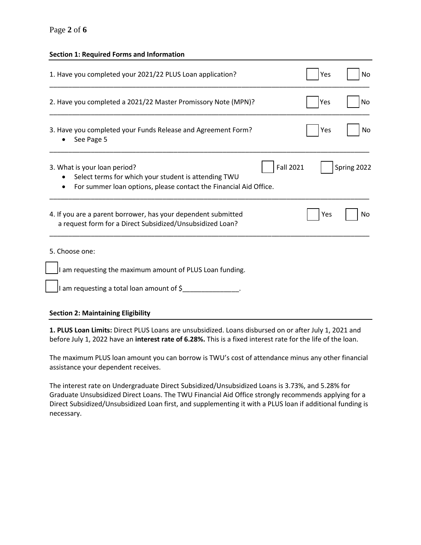# Page **2** of **6**

#### **Section 1: Required Forms and Information**

| 1. Have you completed your 2021/22 PLUS Loan application?                                                                                                                     | Yes | No          |
|-------------------------------------------------------------------------------------------------------------------------------------------------------------------------------|-----|-------------|
| 2. Have you completed a 2021/22 Master Promissory Note (MPN)?                                                                                                                 | Yes | No          |
| 3. Have you completed your Funds Release and Agreement Form?<br>See Page 5                                                                                                    | Yes | No          |
| <b>Fall 2021</b><br>3. What is your loan period?<br>Select terms for which your student is attending TWU<br>For summer loan options, please contact the Financial Aid Office. |     | Spring 2022 |
| 4. If you are a parent borrower, has your dependent submitted<br>a request form for a Direct Subsidized/Unsubsidized Loan?                                                    | Yes | No          |
| 5. Choose one:                                                                                                                                                                |     |             |
| I am requesting the maximum amount of PLUS Loan funding.                                                                                                                      |     |             |
| I am requesting a total loan amount of \$                                                                                                                                     |     |             |

## **Section 2: Maintaining Eligibility**

**1. PLUS Loan Limits:** Direct PLUS Loans are unsubsidized. Loans disbursed on or after July 1, 2021 and before July 1, 2022 have an **interest rate of 6.28%.** This is a fixed interest rate for the life of the loan.

The maximum PLUS loan amount you can borrow is TWU's cost of attendance minus any other financial assistance your dependent receives.

The interest rate on Undergraduate Direct Subsidized/Unsubsidized Loans is 3.73%, and 5.28% for Graduate Unsubsidized Direct Loans. The TWU Financial Aid Office strongly recommends applying for a Direct Subsidized/Unsubsidized Loan first, and supplementing it with a PLUS loan if additional funding is necessary.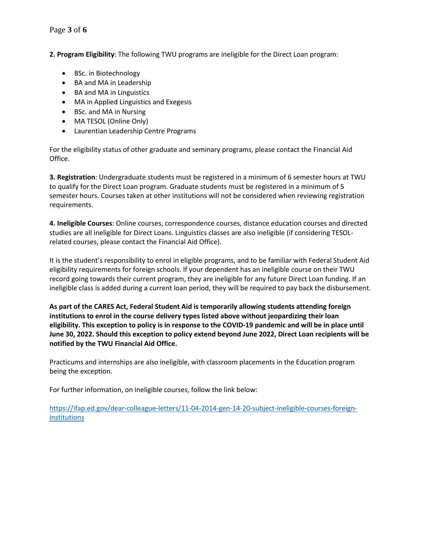**2. Program Eligibility**: The following TWU programs are ineligible for the Direct Loan program:

- BSc. in Biotechnology
- BA and MA in Leadership
- BA and MA in Linguistics
- MA in Applied Linguistics and Exegesis
- BSc. and MA in Nursing
- MA TESOL (Online Only)
- Laurentian Leadership Centre Programs

For the eligibility status of other graduate and seminary programs, please contact the Financial Aid Office.

**3. Registration**: Undergraduate students must be registered in a minimum of 6 semester hours at TWU to qualify for the Direct Loan program. Graduate students must be registered in a minimum of 5 semester hours. Courses taken at other institutions will not be considered when reviewing registration requirements.

**4. Ineligible Courses**: Online courses, correspondence courses, distance education courses and directed studies are all ineligible for Direct Loans. Linguistics classes are also ineligible (if considering TESOLrelated courses, please contact the Financial Aid Office).

It is the student's responsibility to enrol in eligible programs, and to be familiar with Federal Student Aid eligibility requirements for foreign schools. If your dependent has an ineligible course on their TWU record going towards their current program, they are ineligible for any future Direct Loan funding. If an ineligible class is added during a current loan period, they will be required to pay back the disbursement.

**As part of the CARES Act, Federal Student Aid is temporarily allowing students attending foreign institutions to enrol in the course delivery types listed above without jeopardizing their loan eligibility. This exception to policy is in response to the COVID-19 pandemic and will be in place until June 30, 2022. Should this exception to policy extend beyond June 2022, Direct Loan recipients will be notified by the TWU Financial Aid Office.**

Practicums and internships are also ineligible, with classroom placements in the Education program being the exception.

For further information, on ineligible courses, follow the link below:

[https://ifap.ed.gov/dear-colleague-letters/11-04-2014-gen-14-20-subject-ineligible-courses-foreign](https://ifap.ed.gov/dear-colleague-letters/11-04-2014-gen-14-20-subject-ineligible-courses-foreign-institutions)**[institutions](https://ifap.ed.gov/dear-colleague-letters/11-04-2014-gen-14-20-subject-ineligible-courses-foreign-institutions)**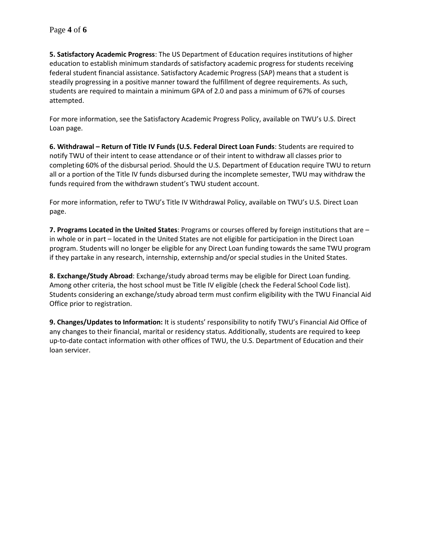**5. Satisfactory Academic Progress**: The US Department of Education requires institutions of higher education to establish minimum standards of satisfactory academic progress for students receiving federal student financial assistance. Satisfactory Academic Progress (SAP) means that a student is steadily progressing in a positive manner toward the fulfillment of degree requirements. As such, students are required to maintain a minimum GPA of 2.0 and pass a minimum of 67% of courses attempted.

For more information, see the Satisfactory Academic Progress Policy, available on TWU's U.S. Direct Loan page.

**6. Withdrawal – Return of Title IV Funds (U.S. Federal Direct Loan Funds**: Students are required to notify TWU of their intent to cease attendance or of their intent to withdraw all classes prior to completing 60% of the disbursal period. Should the U.S. Department of Education require TWU to return all or a portion of the Title IV funds disbursed during the incomplete semester, TWU may withdraw the funds required from the withdrawn student's TWU student account.

For more information, refer to TWU's Title IV Withdrawal Policy, available on TWU's U.S. Direct Loan page.

**7. Programs Located in the United States**: Programs or courses offered by foreign institutions that are – in whole or in part – located in the United States are not eligible for participation in the Direct Loan program. Students will no longer be eligible for any Direct Loan funding towards the same TWU program if they partake in any research, internship, externship and/or special studies in the United States.

**8. Exchange/Study Abroad**: Exchange/study abroad terms may be eligible for Direct Loan funding. Among other criteria, the host school must be Title IV eligible (check the Federal School Code list). Students considering an exchange/study abroad term must confirm eligibility with the TWU Financial Aid Office prior to registration.

**9. Changes/Updates to Information:** It is students' responsibility to notify TWU's Financial Aid Office of any changes to their financial, marital or residency status. Additionally, students are required to keep up-to-date contact information with other offices of TWU, the U.S. Department of Education and their loan servicer.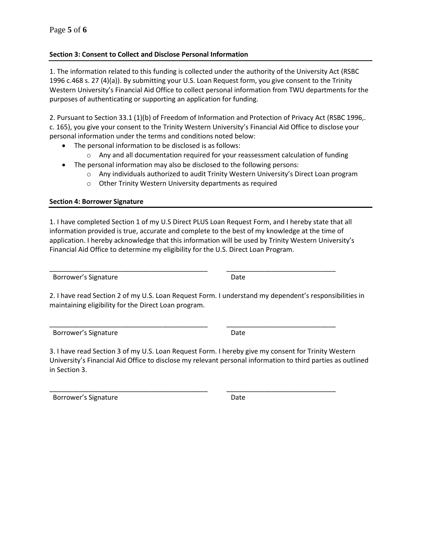# **Section 3: Consent to Collect and Disclose Personal Information**

1. The information related to this funding is collected under the authority of the University Act (RSBC 1996 c.468 s. 27 (4)(a)). By submitting your U.S. Loan Request form, you give consent to the Trinity Western University's Financial Aid Office to collect personal information from TWU departments for the purposes of authenticating or supporting an application for funding.

2. Pursuant to Section 33.1 (1)(b) of Freedom of Information and Protection of Privacy Act (RSBC 1996,. c. 165), you give your consent to the Trinity Western University's Financial Aid Office to disclose your personal information under the terms and conditions noted below:

- The personal information to be disclosed is as follows:
	- $\circ$  Any and all documentation required for your reassessment calculation of funding
- The personal information may also be disclosed to the following persons:
	- o Any individuals authorized to audit Trinity Western University's Direct Loan program
	- o Other Trinity Western University departments as required

# **Section 4: Borrower Signature**

1. I have completed Section 1 of my U.S Direct PLUS Loan Request Form, and I hereby state that all information provided is true, accurate and complete to the best of my knowledge at the time of application. I hereby acknowledge that this information will be used by Trinity Western University's Financial Aid Office to determine my eligibility for the U.S. Direct Loan Program.

Borrower's Signature Date

\_\_\_\_\_\_\_\_\_\_\_\_\_\_\_\_\_\_\_\_\_\_\_\_\_\_\_\_\_\_\_\_\_\_\_\_\_\_\_\_\_\_ \_\_\_\_\_\_\_\_\_\_\_\_\_\_\_\_\_\_\_\_\_\_\_\_\_\_\_\_\_

2. I have read Section 2 of my U.S. Loan Request Form. I understand my dependent's responsibilities in maintaining eligibility for the Direct Loan program.

\_\_\_\_\_\_\_\_\_\_\_\_\_\_\_\_\_\_\_\_\_\_\_\_\_\_\_\_\_\_\_\_\_\_\_\_\_\_\_\_\_\_ \_\_\_\_\_\_\_\_\_\_\_\_\_\_\_\_\_\_\_\_\_\_\_\_\_\_\_\_\_

\_\_\_\_\_\_\_\_\_\_\_\_\_\_\_\_\_\_\_\_\_\_\_\_\_\_\_\_\_\_\_\_\_\_\_\_\_\_\_\_\_\_ \_\_\_\_\_\_\_\_\_\_\_\_\_\_\_\_\_\_\_\_\_\_\_\_\_\_\_\_\_

Borrower's Signature **Date** 

3. I have read Section 3 of my U.S. Loan Request Form. I hereby give my consent for Trinity Western University's Financial Aid Office to disclose my relevant personal information to third parties as outlined in Section 3.

Borrower's Signature **Date**